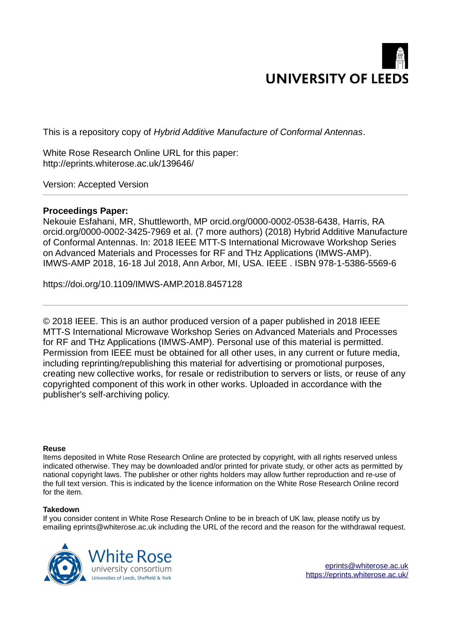

This is a repository copy of *Hybrid Additive Manufacture of Conformal Antennas*.

White Rose Research Online URL for this paper: http://eprints.whiterose.ac.uk/139646/

Version: Accepted Version

# **Proceedings Paper:**

Nekouie Esfahani, MR, Shuttleworth, MP orcid.org/0000-0002-0538-6438, Harris, RA orcid.org/0000-0002-3425-7969 et al. (7 more authors) (2018) Hybrid Additive Manufacture of Conformal Antennas. In: 2018 IEEE MTT-S International Microwave Workshop Series on Advanced Materials and Processes for RF and THz Applications (IMWS-AMP). IMWS-AMP 2018, 16-18 Jul 2018, Ann Arbor, MI, USA. IEEE . ISBN 978-1-5386-5569-6

https://doi.org/10.1109/IMWS-AMP.2018.8457128

© 2018 IEEE. This is an author produced version of a paper published in 2018 IEEE MTT-S International Microwave Workshop Series on Advanced Materials and Processes for RF and THz Applications (IMWS-AMP). Personal use of this material is permitted. Permission from IEEE must be obtained for all other uses, in any current or future media, including reprinting/republishing this material for advertising or promotional purposes, creating new collective works, for resale or redistribution to servers or lists, or reuse of any copyrighted component of this work in other works. Uploaded in accordance with the publisher's self-archiving policy.

## **Reuse**

Items deposited in White Rose Research Online are protected by copyright, with all rights reserved unless indicated otherwise. They may be downloaded and/or printed for private study, or other acts as permitted by national copyright laws. The publisher or other rights holders may allow further reproduction and re-use of the full text version. This is indicated by the licence information on the White Rose Research Online record for the item.

## **Takedown**

If you consider content in White Rose Research Online to be in breach of UK law, please notify us by emailing eprints@whiterose.ac.uk including the URL of the record and the reason for the withdrawal request.

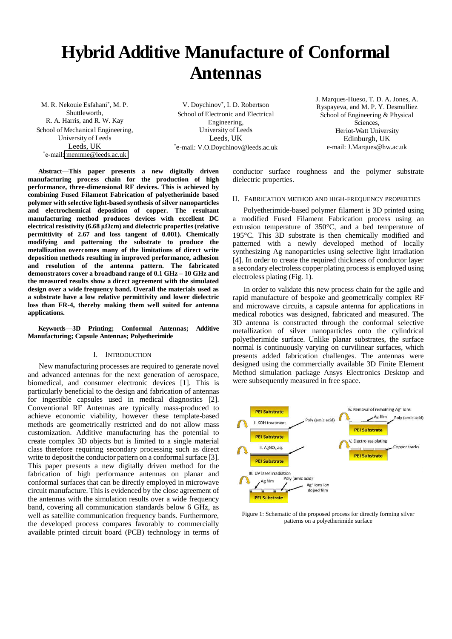# **Hybrid Additive Manufacture of Conformal Antennas**

M. R. Nekouie Esfahani\* , M. P. Shuttleworth, R. A. Harris, and R. W. Kay School of Mechanical Engineering, University of Leeds Leeds, UK \* e-mail[: menmne@leeds.ac.uk](mailto:menmne@leeds.ac.uk)

V. Doychinov\* , I. D. Robertson School of Electronic and Electrical Engineering, University of Leeds Leeds, UK \*e-mail: V.O.Doychinov@leeds.ac.uk J. Marques-Hueso, T. D. A. Jones, A. Ryspayeva, and M. P. Y. Desmulliez School of Engineering & Physical Sciences, Heriot-Watt University Edinburgh, UK e-mail: J.Marques@hw.ac.uk

**Abstract—This paper presents a new digitally driven manufacturing process chain for the production of high performance, three-dimensional RF devices. This is achieved by combining Fused Filament Fabrication of polyetherimide based polymer with selective light-based synthesis of silver nanoparticles and electrochemical deposition of copper. The resultant manufacturing method produces devices with excellent DC**   $\epsilon$  electrical resistivity (6.68  $\mu \Omega$ cm) and dielectric properties (relative **permittivity of 2.67 and loss tangent of 0.001). Chemically modifying and patterning the substrate to produce the metallization overcomes many of the limitations of direct write deposition methods resulting in improved performance, adhesion and resolution of the antenna pattern. The fabricated demonstrators cover a broadband range of 0.1 GHz – 10 GHz and the measured results show a direct agreement with the simulated design over a wide frequency band. Overall the materials used as a substrate have a low relative permittivity and lower dielectric loss than FR-4, thereby making them well suited for antenna applications.** 

**Keywords***—***3D Printing; Conformal Antennas; Additive Manufacturing; Capsule Antennas; Polyetherimide** 

#### I. INTRODUCTION

New manufacturing processes are required to generate novel and advanced antennas for the next generation of aerospace, biomedical, and consumer electronic devices [1]. This is particularly beneficial to the design and fabrication of antennas for ingestible capsules used in medical diagnostics [2]. Conventional RF Antennas are typically mass-produced to achieve economic viability, however these template-based methods are geometrically restricted and do not allow mass customization. Additive manufacturing has the potential to create complex 3D objects but is limited to a single material class therefore requiring secondary processing such as direct write to deposit the conductor pattern on a conformal surface [3]. This paper presents a new digitally driven method for the fabrication of high performance antennas on planar and conformal surfaces that can be directly employed in microwave circuit manufacture. This is evidenced by the close agreement of the antennas with the simulation results over a wide frequency band, covering all communication standards below 6 GHz, as well as satellite communication frequency bands. Furthermore, the developed process compares favorably to commercially available printed circuit board (PCB) technology in terms of

conductor surface roughness and the polymer substrate dielectric properties.

### II. FABRICATION METHOD AND HIGH-FREQUENCY PROPERTIES

Polyetherimide-based polymer filament is 3D printed using a modified Fused Filament Fabrication process using an extrusion temperature of 350°C, and a bed temperature of 195°C. This 3D substrate is then chemically modified and patterned with a newly developed method of locally synthesizing Ag nanoparticles using selective light irradiation [4]. In order to create the required thickness of conductor layer a secondary electroless copper plating process is employed using electroless plating (Fig. 1).

In order to validate this new process chain for the agile and rapid manufacture of bespoke and geometrically complex RF and microwave circuits, a capsule antenna for applications in medical robotics was designed, fabricated and measured. The 3D antenna is constructed through the conformal selective metallization of silver nanoparticles onto the cylindrical polyetherimide surface. Unlike planar substrates, the surface normal is continuously varying on curvilinear surfaces, which presents added fabrication challenges. The antennas were designed using the commercially available 3D Finite Element Method simulation package Ansys Electronics Desktop and were subsequently measured in free space.



Figure 1: Schematic of the proposed process for directly forming silver patterns on a polyetherimide surface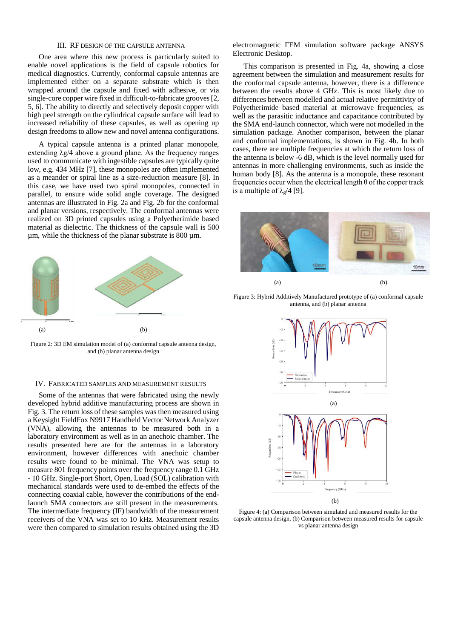#### III. RF DESIGN OF THE CAPSULE ANTENNA

One area where this new process is particularly suited to enable novel applications is the field of capsule robotics for medical diagnostics. Currently, conformal capsule antennas are implemented either on a separate substrate which is then wrapped around the capsule and fixed with adhesive, or via single-core copper wire fixed in difficult-to-fabricate grooves [2, 5, 6]. The ability to directly and selectively deposit copper with high peel strength on the cylindrical capsule surface will lead to increased reliability of these capsules, as well as opening up design freedoms to allow new and novel antenna configurations.

A typical capsule antenna is a printed planar monopole, extending  $\lambda$ g/4 above a ground plane. As the frequency ranges used to communicate with ingestible capsules are typically quite low, e.g. 434 MHz [7], these monopoles are often implemented as a meander or spiral line as a size-reduction measure [8]. In this case, we have used two spiral monopoles, connected in parallel, to ensure wide solid angle coverage. The designed antennas are illustrated in Fig. 2a and Fig. 2b for the conformal and planar versions, respectively. The conformal antennas were realized on 3D printed capsules using a Polyetherimide based material as dielectric. The thickness of the capsule wall is 500  $\mu$ m, while the thickness of the planar substrate is 800  $\mu$ m.



Figure 2: 3D EM simulation model of (a) conformal capsule antenna design, and (b) planar antenna design

#### IV. FABRICATED SAMPLES AND MEASUREMENT RESULTS

Some of the antennas that were fabricated using the newly developed hybrid additive manufacturing process are shown in Fig. 3. The return loss of these samples was then measured using a Keysight FieldFox N9917 Handheld Vector Network Analyzer (VNA), allowing the antennas to be measured both in a laboratory environment as well as in an anechoic chamber. The results presented here are for the antennas in a laboratory environment, however differences with anechoic chamber results were found to be minimal. The VNA was setup to measure 801 frequency points over the frequency range 0.1 GHz - 10 GHz. Single-port Short, Open, Load (SOL) calibration with mechanical standards were used to de-embed the effects of the connecting coaxial cable, however the contributions of the endlaunch SMA connectors are still present in the measurements. The intermediate frequency (IF) bandwidth of the measurement receivers of the VNA was set to 10 kHz. Measurement results were then compared to simulation results obtained using the 3D

electromagnetic FEM simulation software package ANSYS Electronic Desktop.

This comparison is presented in Fig. 4a, showing a close agreement between the simulation and measurement results for the conformal capsule antenna, however, there is a difference between the results above 4 GHz. This is most likely due to differences between modelled and actual relative permittivity of Polyetherimide based material at microwave frequencies, as well as the parasitic inductance and capacitance contributed by the SMA end-launch connector, which were not modelled in the simulation package. Another comparison, between the planar and conformal implementations, is shown in Fig. 4b. In both cases, there are multiple frequencies at which the return loss of the antenna is below -6 dB, which is the level normally used for antennas in more challenging environments, such as inside the human body [8]. As the antenna is a monopole, these resonant frequencies occur when the electrical length  $\theta$  of the copper track is a multiple of  $\lambda$ <sub>g</sub>/4 [9].



Figure 3: Hybrid Additively Manufactured prototype of (a) conformal capsule antenna, and (b) planar antenna



Figure 4: (a) Comparison between simulated and measured results for the capsule antenna design, (b) Comparison between measured results for capsule vs planar antenna design